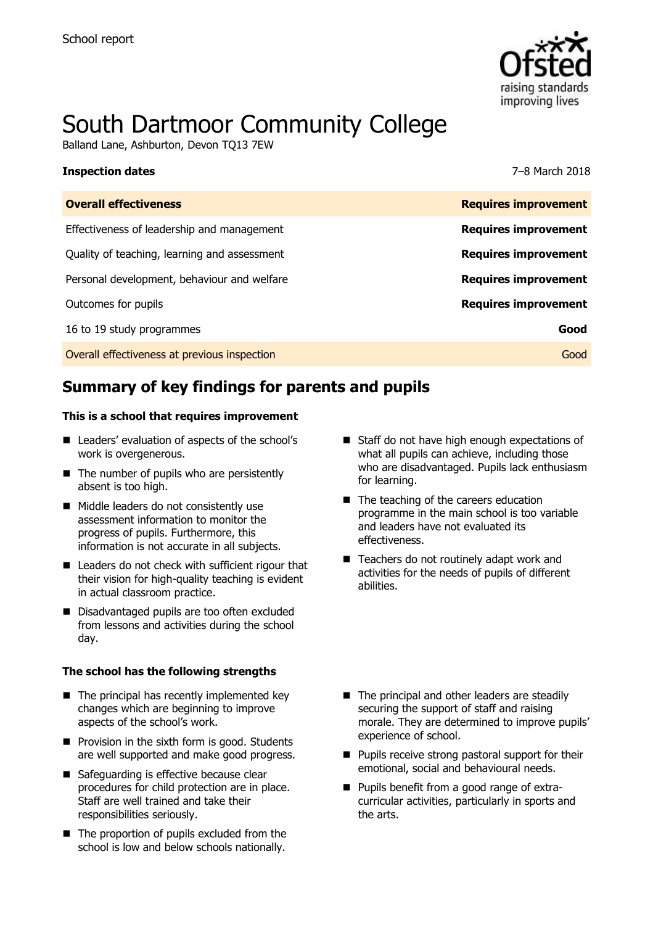

# South Dartmoor Community College

Balland Lane, Ashburton, Devon TQ13 7EW

#### **Inspection dates** 7–8 March 2018

| <b>Overall effectiveness</b>                 | <b>Requires improvement</b> |
|----------------------------------------------|-----------------------------|
| Effectiveness of leadership and management   | <b>Requires improvement</b> |
| Quality of teaching, learning and assessment | <b>Requires improvement</b> |
| Personal development, behaviour and welfare  | <b>Requires improvement</b> |
| Outcomes for pupils                          | <b>Requires improvement</b> |
| 16 to 19 study programmes                    | Good                        |
| Overall effectiveness at previous inspection | Good                        |
|                                              |                             |

# **Summary of key findings for parents and pupils**

#### **This is a school that requires improvement**

- Leaders' evaluation of aspects of the school's work is overgenerous.
- $\blacksquare$  The number of pupils who are persistently absent is too high.
- Middle leaders do not consistently use assessment information to monitor the progress of pupils. Furthermore, this information is not accurate in all subjects.
- Leaders do not check with sufficient rigour that their vision for high-quality teaching is evident in actual classroom practice.
- Disadvantaged pupils are too often excluded from lessons and activities during the school day.

#### **The school has the following strengths**

- $\blacksquare$  The principal has recently implemented key changes which are beginning to improve aspects of the school's work.
- $\blacksquare$  Provision in the sixth form is good. Students are well supported and make good progress.
- Safeguarding is effective because clear procedures for child protection are in place. Staff are well trained and take their responsibilities seriously.
- The proportion of pupils excluded from the school is low and below schools nationally.
- Staff do not have high enough expectations of what all pupils can achieve, including those who are disadvantaged. Pupils lack enthusiasm for learning.
- The teaching of the careers education programme in the main school is too variable and leaders have not evaluated its effectiveness.
- Teachers do not routinely adapt work and activities for the needs of pupils of different abilities.

- The principal and other leaders are steadily securing the support of staff and raising morale. They are determined to improve pupils' experience of school.
- **Pupils receive strong pastoral support for their** emotional, social and behavioural needs.
- **Pupils benefit from a good range of extra**curricular activities, particularly in sports and the arts.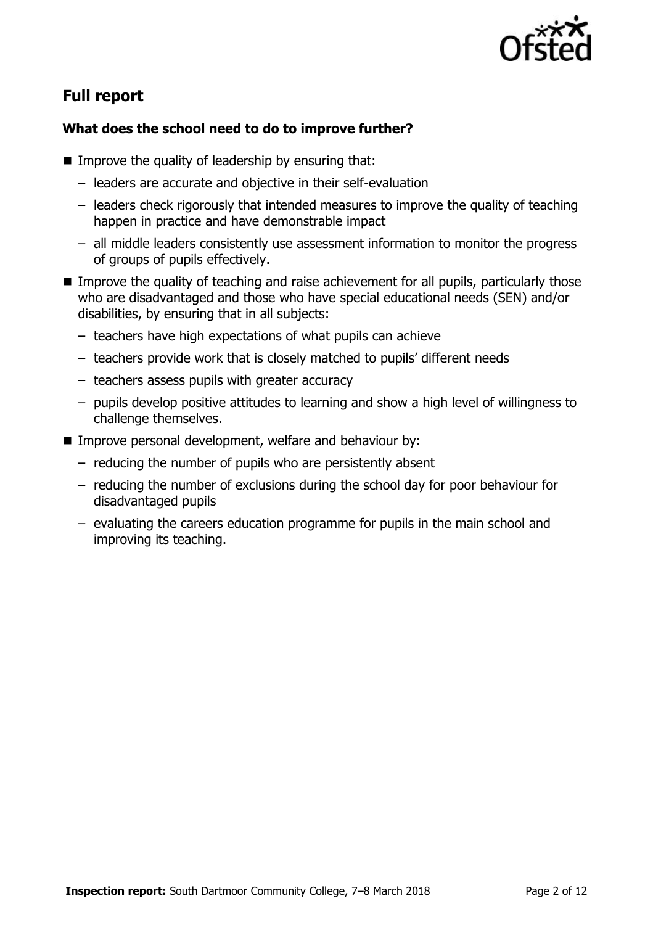

# **Full report**

### **What does the school need to do to improve further?**

- Improve the quality of leadership by ensuring that:
	- leaders are accurate and objective in their self-evaluation
	- leaders check rigorously that intended measures to improve the quality of teaching happen in practice and have demonstrable impact
	- all middle leaders consistently use assessment information to monitor the progress of groups of pupils effectively.
- Improve the quality of teaching and raise achievement for all pupils, particularly those who are disadvantaged and those who have special educational needs (SEN) and/or disabilities, by ensuring that in all subjects:
	- teachers have high expectations of what pupils can achieve
	- teachers provide work that is closely matched to pupils' different needs
	- teachers assess pupils with greater accuracy
	- pupils develop positive attitudes to learning and show a high level of willingness to challenge themselves.
- Improve personal development, welfare and behaviour by:
	- reducing the number of pupils who are persistently absent
	- reducing the number of exclusions during the school day for poor behaviour for disadvantaged pupils
	- evaluating the careers education programme for pupils in the main school and improving its teaching.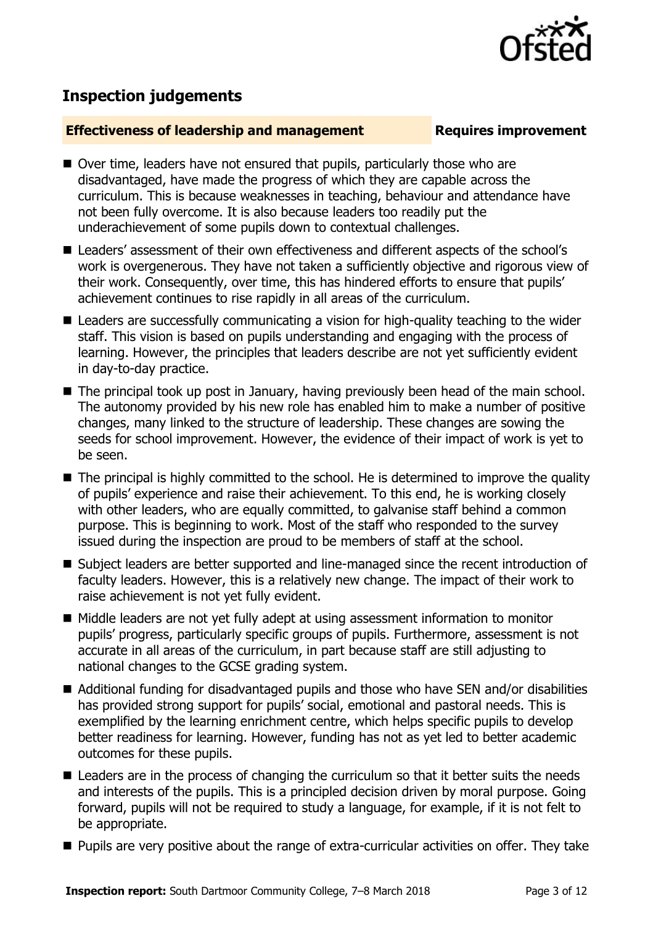

## **Inspection judgements**

#### **Effectiveness of leadership and management Requires improvement**

- Over time, leaders have not ensured that pupils, particularly those who are disadvantaged, have made the progress of which they are capable across the curriculum. This is because weaknesses in teaching, behaviour and attendance have not been fully overcome. It is also because leaders too readily put the underachievement of some pupils down to contextual challenges.
- Leaders' assessment of their own effectiveness and different aspects of the school's work is overgenerous. They have not taken a sufficiently objective and rigorous view of their work. Consequently, over time, this has hindered efforts to ensure that pupils' achievement continues to rise rapidly in all areas of the curriculum.
- Leaders are successfully communicating a vision for high-quality teaching to the wider staff. This vision is based on pupils understanding and engaging with the process of learning. However, the principles that leaders describe are not yet sufficiently evident in day-to-day practice.
- The principal took up post in January, having previously been head of the main school. The autonomy provided by his new role has enabled him to make a number of positive changes, many linked to the structure of leadership. These changes are sowing the seeds for school improvement. However, the evidence of their impact of work is yet to be seen.
- The principal is highly committed to the school. He is determined to improve the quality of pupils' experience and raise their achievement. To this end, he is working closely with other leaders, who are equally committed, to galvanise staff behind a common purpose. This is beginning to work. Most of the staff who responded to the survey issued during the inspection are proud to be members of staff at the school.
- Subject leaders are better supported and line-managed since the recent introduction of faculty leaders. However, this is a relatively new change. The impact of their work to raise achievement is not yet fully evident.
- Middle leaders are not yet fully adept at using assessment information to monitor pupils' progress, particularly specific groups of pupils. Furthermore, assessment is not accurate in all areas of the curriculum, in part because staff are still adjusting to national changes to the GCSE grading system.
- Additional funding for disadvantaged pupils and those who have SEN and/or disabilities has provided strong support for pupils' social, emotional and pastoral needs. This is exemplified by the learning enrichment centre, which helps specific pupils to develop better readiness for learning. However, funding has not as yet led to better academic outcomes for these pupils.
- Leaders are in the process of changing the curriculum so that it better suits the needs and interests of the pupils. This is a principled decision driven by moral purpose. Going forward, pupils will not be required to study a language, for example, if it is not felt to be appropriate.
- **Pupils are very positive about the range of extra-curricular activities on offer. They take**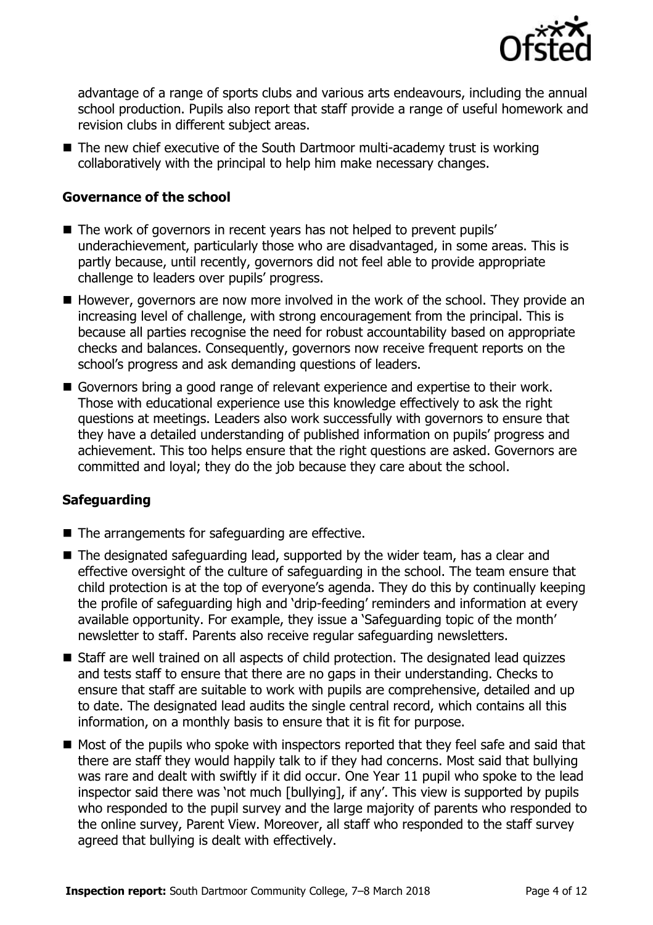

advantage of a range of sports clubs and various arts endeavours, including the annual school production. Pupils also report that staff provide a range of useful homework and revision clubs in different subject areas.

■ The new chief executive of the South Dartmoor multi-academy trust is working collaboratively with the principal to help him make necessary changes.

#### **Governance of the school**

- The work of governors in recent years has not helped to prevent pupils' underachievement, particularly those who are disadvantaged, in some areas. This is partly because, until recently, governors did not feel able to provide appropriate challenge to leaders over pupils' progress.
- However, governors are now more involved in the work of the school. They provide an increasing level of challenge, with strong encouragement from the principal. This is because all parties recognise the need for robust accountability based on appropriate checks and balances. Consequently, governors now receive frequent reports on the school's progress and ask demanding questions of leaders.
- Governors bring a good range of relevant experience and expertise to their work. Those with educational experience use this knowledge effectively to ask the right questions at meetings. Leaders also work successfully with governors to ensure that they have a detailed understanding of published information on pupils' progress and achievement. This too helps ensure that the right questions are asked. Governors are committed and loyal; they do the job because they care about the school.

### **Safeguarding**

- $\blacksquare$  The arrangements for safeguarding are effective.
- The designated safeguarding lead, supported by the wider team, has a clear and effective oversight of the culture of safeguarding in the school. The team ensure that child protection is at the top of everyone's agenda. They do this by continually keeping the profile of safeguarding high and 'drip-feeding' reminders and information at every available opportunity. For example, they issue a 'Safeguarding topic of the month' newsletter to staff. Parents also receive regular safeguarding newsletters.
- Staff are well trained on all aspects of child protection. The designated lead quizzes and tests staff to ensure that there are no gaps in their understanding. Checks to ensure that staff are suitable to work with pupils are comprehensive, detailed and up to date. The designated lead audits the single central record, which contains all this information, on a monthly basis to ensure that it is fit for purpose.
- Most of the pupils who spoke with inspectors reported that they feel safe and said that there are staff they would happily talk to if they had concerns. Most said that bullying was rare and dealt with swiftly if it did occur. One Year 11 pupil who spoke to the lead inspector said there was 'not much [bullying], if any'. This view is supported by pupils who responded to the pupil survey and the large majority of parents who responded to the online survey, Parent View. Moreover, all staff who responded to the staff survey agreed that bullying is dealt with effectively.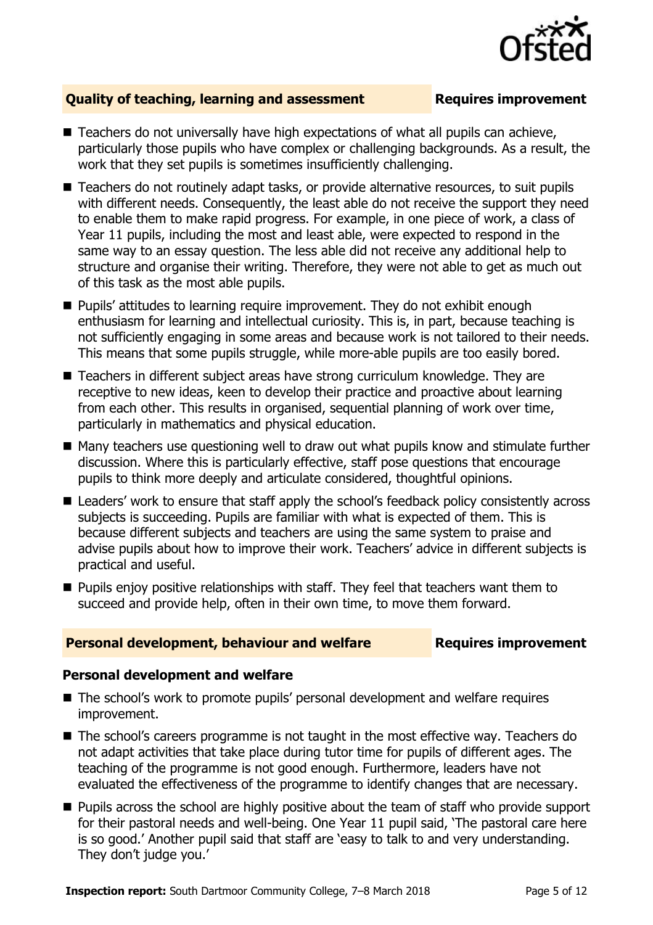

### **Quality of teaching, learning and assessment Fig. 2.1 Requires improvement**

- $\blacksquare$  Teachers do not universally have high expectations of what all pupils can achieve, particularly those pupils who have complex or challenging backgrounds. As a result, the work that they set pupils is sometimes insufficiently challenging.
- Teachers do not routinely adapt tasks, or provide alternative resources, to suit pupils with different needs. Consequently, the least able do not receive the support they need to enable them to make rapid progress. For example, in one piece of work, a class of Year 11 pupils, including the most and least able, were expected to respond in the same way to an essay question. The less able did not receive any additional help to structure and organise their writing. Therefore, they were not able to get as much out of this task as the most able pupils.
- Pupils' attitudes to learning require improvement. They do not exhibit enough enthusiasm for learning and intellectual curiosity. This is, in part, because teaching is not sufficiently engaging in some areas and because work is not tailored to their needs. This means that some pupils struggle, while more-able pupils are too easily bored.
- Teachers in different subject areas have strong curriculum knowledge. They are receptive to new ideas, keen to develop their practice and proactive about learning from each other. This results in organised, sequential planning of work over time, particularly in mathematics and physical education.
- Many teachers use questioning well to draw out what pupils know and stimulate further discussion. Where this is particularly effective, staff pose questions that encourage pupils to think more deeply and articulate considered, thoughtful opinions.
- Leaders' work to ensure that staff apply the school's feedback policy consistently across subjects is succeeding. Pupils are familiar with what is expected of them. This is because different subjects and teachers are using the same system to praise and advise pupils about how to improve their work. Teachers' advice in different subjects is practical and useful.
- **Pupils enjoy positive relationships with staff. They feel that teachers want them to** succeed and provide help, often in their own time, to move them forward.

#### **Personal development, behaviour and welfare Fig. 2.1 Requires improvement**

#### **Personal development and welfare**

- The school's work to promote pupils' personal development and welfare requires improvement.
- The school's careers programme is not taught in the most effective way. Teachers do not adapt activities that take place during tutor time for pupils of different ages. The teaching of the programme is not good enough. Furthermore, leaders have not evaluated the effectiveness of the programme to identify changes that are necessary.
- **Pupils across the school are highly positive about the team of staff who provide support** for their pastoral needs and well-being. One Year 11 pupil said, 'The pastoral care here is so good.' Another pupil said that staff are 'easy to talk to and very understanding. They don't judge you.'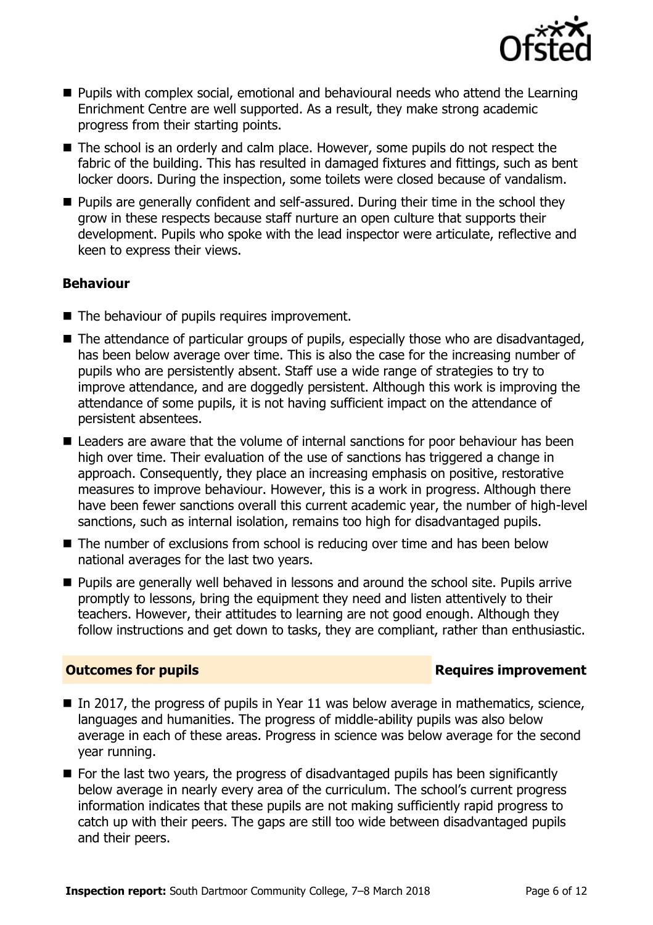

- $\blacksquare$  Pupils with complex social, emotional and behavioural needs who attend the Learning Enrichment Centre are well supported. As a result, they make strong academic progress from their starting points.
- The school is an orderly and calm place. However, some pupils do not respect the fabric of the building. This has resulted in damaged fixtures and fittings, such as bent locker doors. During the inspection, some toilets were closed because of vandalism.
- **Pupils are generally confident and self-assured. During their time in the school they** grow in these respects because staff nurture an open culture that supports their development. Pupils who spoke with the lead inspector were articulate, reflective and keen to express their views.

### **Behaviour**

- The behaviour of pupils requires improvement.
- The attendance of particular groups of pupils, especially those who are disadvantaged, has been below average over time. This is also the case for the increasing number of pupils who are persistently absent. Staff use a wide range of strategies to try to improve attendance, and are doggedly persistent. Although this work is improving the attendance of some pupils, it is not having sufficient impact on the attendance of persistent absentees.
- Leaders are aware that the volume of internal sanctions for poor behaviour has been high over time. Their evaluation of the use of sanctions has triggered a change in approach. Consequently, they place an increasing emphasis on positive, restorative measures to improve behaviour. However, this is a work in progress. Although there have been fewer sanctions overall this current academic year, the number of high-level sanctions, such as internal isolation, remains too high for disadvantaged pupils.
- The number of exclusions from school is reducing over time and has been below national averages for the last two years.
- **Pupils are generally well behaved in lessons and around the school site. Pupils arrive** promptly to lessons, bring the equipment they need and listen attentively to their teachers. However, their attitudes to learning are not good enough. Although they follow instructions and get down to tasks, they are compliant, rather than enthusiastic.

### **Outcomes for pupils Requires improvement**

- $\blacksquare$  In 2017, the progress of pupils in Year 11 was below average in mathematics, science, languages and humanities. The progress of middle-ability pupils was also below average in each of these areas. Progress in science was below average for the second year running.
- For the last two years, the progress of disadvantaged pupils has been significantly below average in nearly every area of the curriculum. The school's current progress information indicates that these pupils are not making sufficiently rapid progress to catch up with their peers. The gaps are still too wide between disadvantaged pupils and their peers.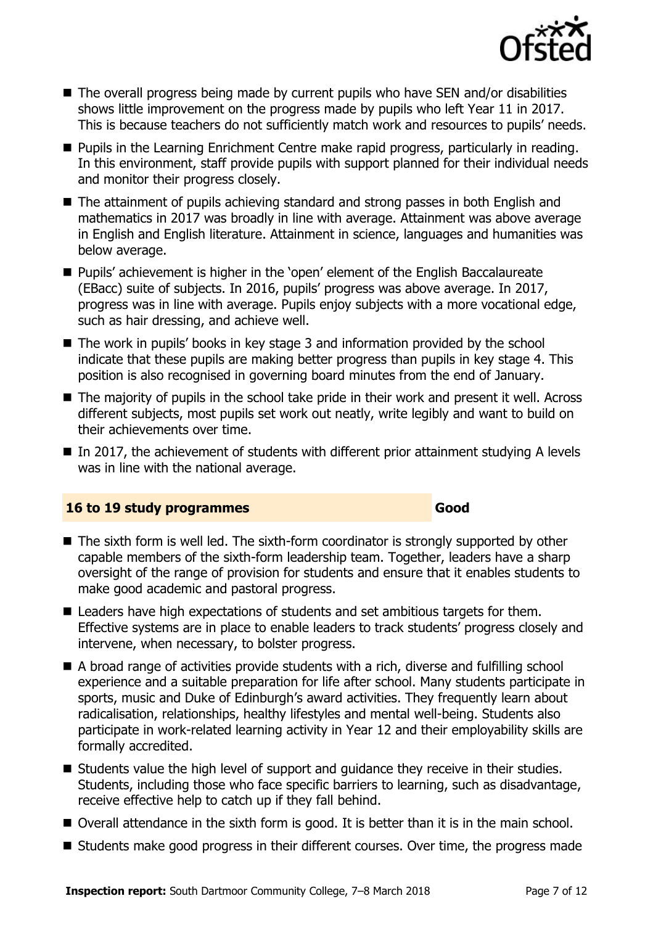

- The overall progress being made by current pupils who have SEN and/or disabilities shows little improvement on the progress made by pupils who left Year 11 in 2017. This is because teachers do not sufficiently match work and resources to pupils' needs.
- **Pupils in the Learning Enrichment Centre make rapid progress, particularly in reading.** In this environment, staff provide pupils with support planned for their individual needs and monitor their progress closely.
- The attainment of pupils achieving standard and strong passes in both English and mathematics in 2017 was broadly in line with average. Attainment was above average in English and English literature. Attainment in science, languages and humanities was below average.
- Pupils' achievement is higher in the 'open' element of the English Baccalaureate (EBacc) suite of subjects. In 2016, pupils' progress was above average. In 2017, progress was in line with average. Pupils enjoy subjects with a more vocational edge, such as hair dressing, and achieve well.
- The work in pupils' books in key stage 3 and information provided by the school indicate that these pupils are making better progress than pupils in key stage 4. This position is also recognised in governing board minutes from the end of January.
- The majority of pupils in the school take pride in their work and present it well. Across different subjects, most pupils set work out neatly, write legibly and want to build on their achievements over time.
- $\blacksquare$  In 2017, the achievement of students with different prior attainment studying A levels was in line with the national average.

### **16 to 19 study programmes Good**

- The sixth form is well led. The sixth-form coordinator is strongly supported by other capable members of the sixth-form leadership team. Together, leaders have a sharp oversight of the range of provision for students and ensure that it enables students to make good academic and pastoral progress.
- Leaders have high expectations of students and set ambitious targets for them. Effective systems are in place to enable leaders to track students' progress closely and intervene, when necessary, to bolster progress.
- A broad range of activities provide students with a rich, diverse and fulfilling school experience and a suitable preparation for life after school. Many students participate in sports, music and Duke of Edinburgh's award activities. They frequently learn about radicalisation, relationships, healthy lifestyles and mental well-being. Students also participate in work-related learning activity in Year 12 and their employability skills are formally accredited.
- Students value the high level of support and guidance they receive in their studies. Students, including those who face specific barriers to learning, such as disadvantage, receive effective help to catch up if they fall behind.
- Overall attendance in the sixth form is good. It is better than it is in the main school.
- Students make good progress in their different courses. Over time, the progress made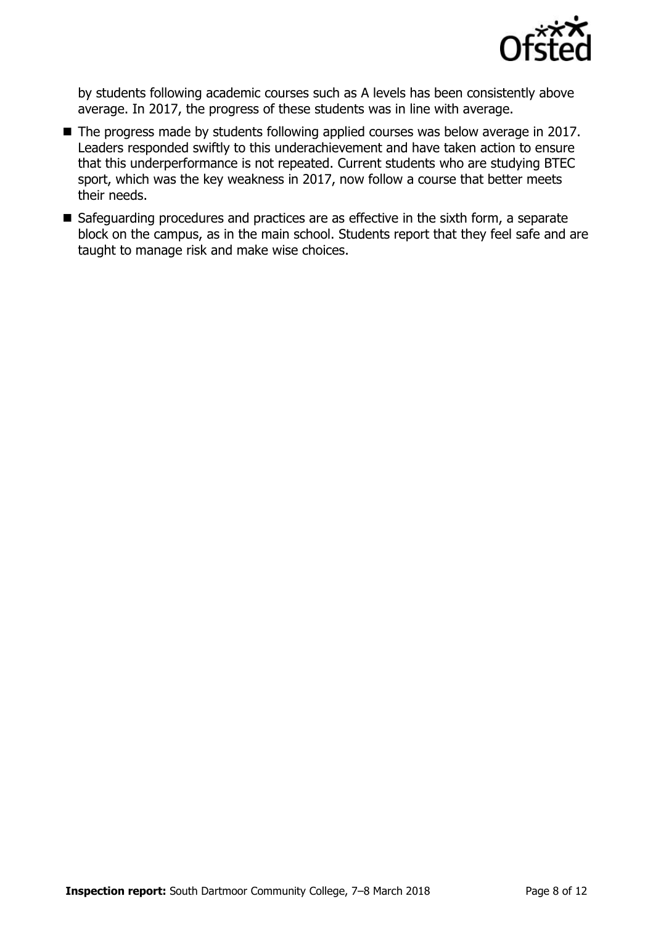

by students following academic courses such as A levels has been consistently above average. In 2017, the progress of these students was in line with average.

- The progress made by students following applied courses was below average in 2017. Leaders responded swiftly to this underachievement and have taken action to ensure that this underperformance is not repeated. Current students who are studying BTEC sport, which was the key weakness in 2017, now follow a course that better meets their needs.
- Safeguarding procedures and practices are as effective in the sixth form, a separate block on the campus, as in the main school. Students report that they feel safe and are taught to manage risk and make wise choices.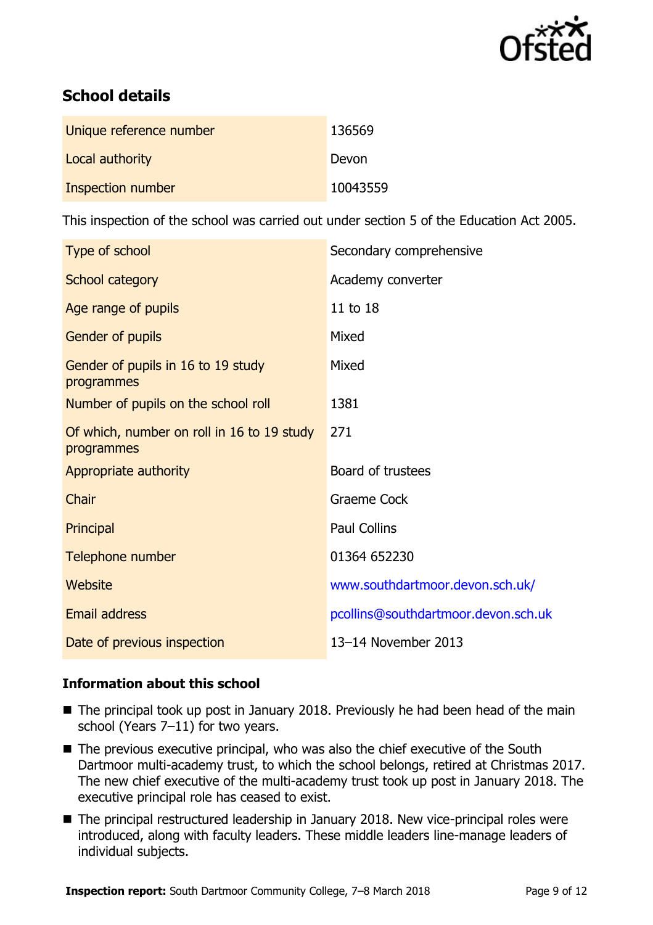

# **School details**

| Unique reference number | 136569   |
|-------------------------|----------|
| Local authority         | Devon    |
| Inspection number       | 10043559 |

This inspection of the school was carried out under section 5 of the Education Act 2005.

| Type of school                                           | Secondary comprehensive             |
|----------------------------------------------------------|-------------------------------------|
| School category                                          | Academy converter                   |
| Age range of pupils                                      | 11 to 18                            |
| Gender of pupils                                         | Mixed                               |
| Gender of pupils in 16 to 19 study<br>programmes         | Mixed                               |
| Number of pupils on the school roll                      | 1381                                |
| Of which, number on roll in 16 to 19 study<br>programmes | 271                                 |
| Appropriate authority                                    | Board of trustees                   |
| Chair                                                    | <b>Graeme Cock</b>                  |
| Principal                                                | <b>Paul Collins</b>                 |
| Telephone number                                         | 01364 652230                        |
| Website                                                  | www.southdartmoor.devon.sch.uk/     |
| <b>Email address</b>                                     | pcollins@southdartmoor.devon.sch.uk |
| Date of previous inspection                              | 13-14 November 2013                 |

### **Information about this school**

- The principal took up post in January 2018. Previously he had been head of the main school (Years 7–11) for two years.
- The previous executive principal, who was also the chief executive of the South Dartmoor multi-academy trust, to which the school belongs, retired at Christmas 2017. The new chief executive of the multi-academy trust took up post in January 2018. The executive principal role has ceased to exist.
- The principal restructured leadership in January 2018. New vice-principal roles were introduced, along with faculty leaders. These middle leaders line-manage leaders of individual subjects.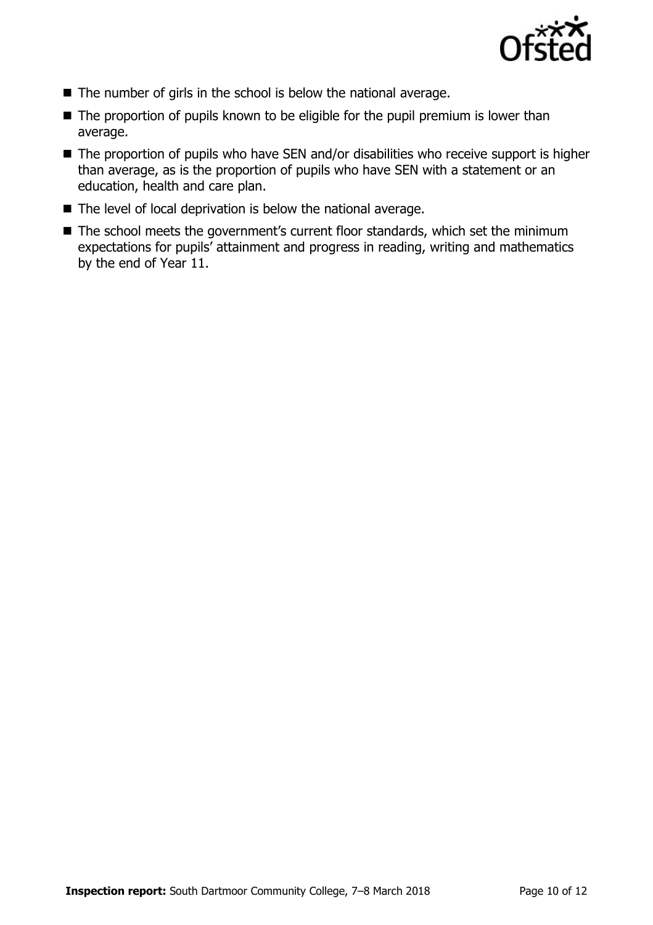

- The number of girls in the school is below the national average.
- $\blacksquare$  The proportion of pupils known to be eligible for the pupil premium is lower than average.
- The proportion of pupils who have SEN and/or disabilities who receive support is higher than average, as is the proportion of pupils who have SEN with a statement or an education, health and care plan.
- The level of local deprivation is below the national average.
- The school meets the government's current floor standards, which set the minimum expectations for pupils' attainment and progress in reading, writing and mathematics by the end of Year 11.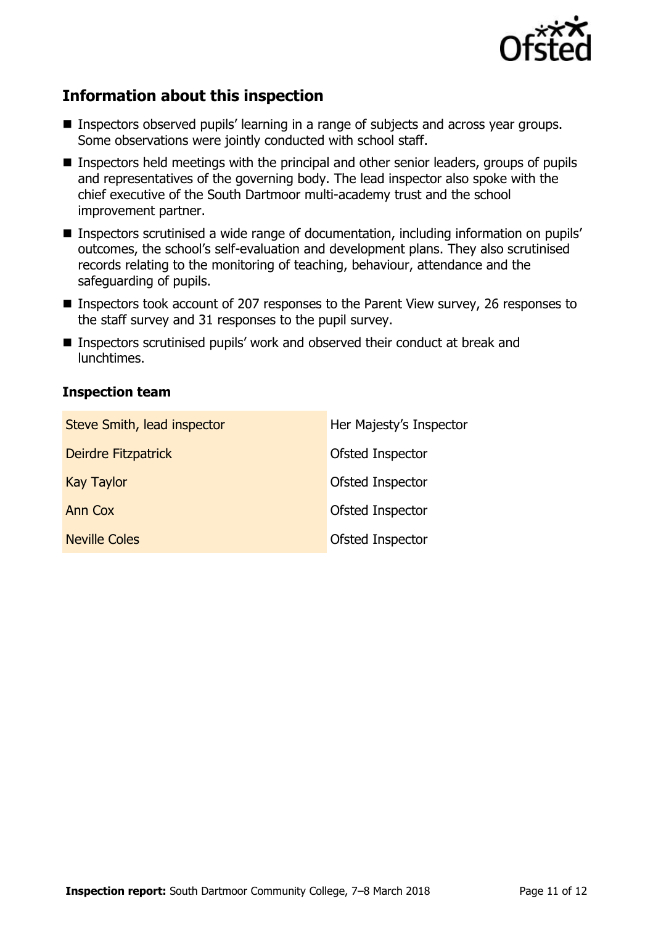

# **Information about this inspection**

- **Inspectors observed pupils' learning in a range of subjects and across year groups.** Some observations were jointly conducted with school staff.
- Inspectors held meetings with the principal and other senior leaders, groups of pupils and representatives of the governing body. The lead inspector also spoke with the chief executive of the South Dartmoor multi-academy trust and the school improvement partner.
- Inspectors scrutinised a wide range of documentation, including information on pupils' outcomes, the school's self-evaluation and development plans. They also scrutinised records relating to the monitoring of teaching, behaviour, attendance and the safeguarding of pupils.
- Inspectors took account of 207 responses to the Parent View survey, 26 responses to the staff survey and 31 responses to the pupil survey.
- Inspectors scrutinised pupils' work and observed their conduct at break and lunchtimes.

#### **Inspection team**

| Steve Smith, lead inspector | Her Majesty's Inspector |
|-----------------------------|-------------------------|
| Deirdre Fitzpatrick         | Ofsted Inspector        |
| <b>Kay Taylor</b>           | Ofsted Inspector        |
| Ann Cox                     | Ofsted Inspector        |
| <b>Neville Coles</b>        | Ofsted Inspector        |